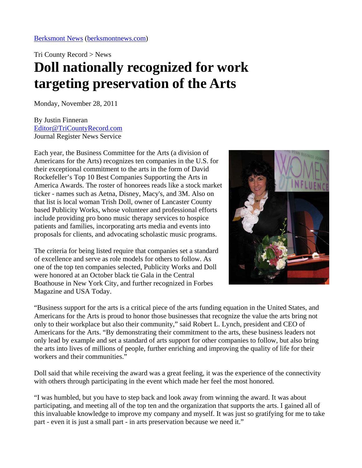Tri County Record > News

## **Doll nationally recognized for work targeting preservation of the Arts**

Monday, November 28, 2011

By Justin Finneran [Editor@TriCountyRecord.com](mailto:Editor@TriCountyRecord.com) Journal Register News Service

Each year, the Business Committee for the Arts (a division of Americans for the Arts) recognizes ten companies in the U.S. for their exceptional commitment to the arts in the form of David Rockefeller's Top 10 Best Companies Supporting the Arts in America Awards. The roster of honorees reads like a stock market ticker - names such as Aetna, Disney, Macy's, and 3M. Also on that list is local woman Trish Doll, owner of Lancaster County based Publicity Works, whose volunteer and professional efforts include providing pro bono music therapy services to hospice patients and families, incorporating arts media and events into proposals for clients, and advocating scholastic music programs.

The criteria for being listed require that companies set a standard of excellence and serve as role models for others to follow. As one of the top ten companies selected, Publicity Works and Doll were honored at an October black tie Gala in the Central Boathouse in New York City, and further recognized in Forbes Magazine and USA Today.



"Business support for the arts is a critical piece of the arts funding equation in the United States, and Americans for the Arts is proud to honor those businesses that recognize the value the arts bring not only to their workplace but also their community," said Robert L. Lynch, president and CEO of Americans for the Arts. "By demonstrating their commitment to the arts, these business leaders not only lead by example and set a standard of arts support for other companies to follow, but also bring the arts into lives of millions of people, further enriching and improving the quality of life for their workers and their communities."

Doll said that while receiving the award was a great feeling, it was the experience of the connectivity with others through participating in the event which made her feel the most honored.

"I was humbled, but you have to step back and look away from winning the award. It was about participating, and meeting all of the top ten and the organization that supports the arts. I gained all of this invaluable knowledge to improve my company and myself. It was just so gratifying for me to take part - even it is just a small part - in arts preservation because we need it."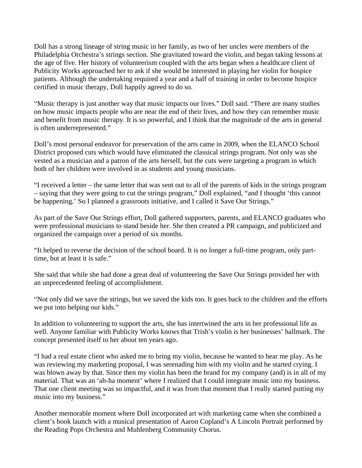Doll has a strong lineage of string music in her family, as two of her uncles were members of the Philadelphia Orchestra's strings section. She gravitated toward the violin, and began taking lessons at the age of five. Her history of volunteerism coupled with the arts began when a healthcare client of Publicity Works approached her to ask if she would be interested in playing her violin for hospice patients. Although the undertaking required a year and a half of training in order to become hospice certified in music therapy, Doll happily agreed to do so.

"Music therapy is just another way that music impacts our lives." Doll said. "There are many studies on how music impacts people who are near the end of their lives, and how they can remember music and benefit from music therapy. It is so powerful, and I think that the magnitude of the arts in general is often underrepresented."

Doll's most personal endeavor for preservation of the arts came in 2009, when the ELANCO School District proposed cuts which would have eliminated the classical strings program. Not only was she vested as a musician and a patron of the arts herself, but the cuts were targeting a program in which both of her children were involved in as students and young musicians.

"I received a letter – the same letter that was sent out to all of the parents of kids in the strings program – saying that they were going to cut the strings program," Doll explained, "and I thought 'this cannot be happening.' So I planned a grassroots initiative, and I called it Save Our Strings."

As part of the Save Our Strings effort, Doll gathered supporters, parents, and ELANCO graduates who were professional musicians to stand beside her. She then created a PR campaign, and publicized and organized the campaign over a period of six months.

"It helped to reverse the decision of the school board. It is no longer a full-time program, only parttime, but at least it is safe."

She said that while she had done a great deal of volunteering the Save Our Strings provided her with an unprecedented feeling of accomplishment.

"Not only did we save the strings, but we saved the kids too. It goes back to the children and the efforts we put into helping our kids."

In addition to volunteering to support the arts, she has intertwined the arts in her professional life as well. Anyone familiar with Publicity Works knows that Trish's violin is her businesses' hallmark. The concept presented itself to her about ten years ago.

"I had a real estate client who asked me to bring my violin, because he wanted to hear me play. As he was reviewing my marketing proposal, I was serenading him with my violin and he started crying. I was blown away by that. Since then my violin has been the brand for my company (and) is in all of my material. That was an 'ah-ha moment' where I realized that I could integrate music into my business. That one client meeting was so impactful, and it was from that moment that I really started putting my music into my business."

Another memorable moment where Doll incorporated art with marketing came when she combined a client's book launch with a musical presentation of Aaron Copland's A Lincoln Portrait performed by the Reading Pops Orchestra and Muhlenberg Community Chorus.